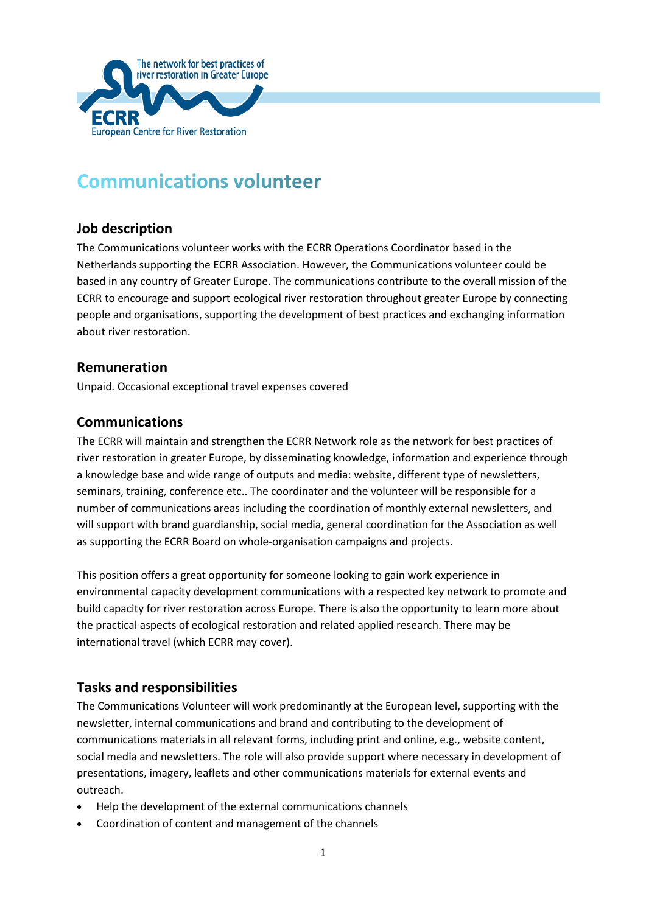

# **Communications volunteer**

# **Job description**

The Communications volunteer works with the ECRR Operations Coordinator based in the Netherlands supporting the ECRR Association. However, the Communications volunteer could be based in any country of Greater Europe. The communications contribute to the overall mission of the ECRR to encourage and support ecological river restoration throughout greater Europe by connecting people and organisations, supporting the development of best practices and exchanging information about river restoration.

#### **Remuneration**

Unpaid. Occasional exceptional travel expenses covered

#### **Communications**

The ECRR will maintain and strengthen the ECRR Network role as the network for best practices of river restoration in greater Europe, by disseminating knowledge, information and experience through a knowledge base and wide range of outputs and media: website, different type of newsletters, seminars, training, conference etc.. The coordinator and the volunteer will be responsible for a number of communications areas including the coordination of monthly external newsletters, and will support with brand guardianship, social media, general coordination for the Association as well as supporting the ECRR Board on whole-organisation campaigns and projects.

This position offers a great opportunity for someone looking to gain work experience in environmental capacity development communications with a respected key network to promote and build capacity for river restoration across Europe. There is also the opportunity to learn more about the practical aspects of ecological restoration and related applied research. There may be international travel (which ECRR may cover).

# **Tasks and responsibilities**

The Communications Volunteer will work predominantly at the European level, supporting with the newsletter, internal communications and brand and contributing to the development of communications materials in all relevant forms, including print and online, e.g., website content, social media and newsletters. The role will also provide support where necessary in development of presentations, imagery, leaflets and other communications materials for external events and outreach.

- Help the development of the external communications channels
- Coordination of content and management of the channels